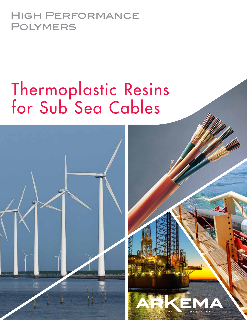### High Performance Polymers

# Thermoplastic Resins for Sub Sea Cables

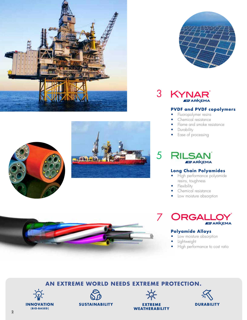



3 KYNAR **EVARKEMA** 

#### **PVDF and PVDF copolymers**

- Fluoropolymer resins
- Chemical resistance
- Flame and smoke resistance
- **Durability**
- Ease of processing

### 5 **ABY ARKEMA**

### **Long Chain Polyamides**

- High performance polyamide resins, toughness
- **Flexibility**
- Chemical resistance
- Low moisture absorption



#### **Polyamide Alloys**

- Low moisture absorption
- Lightweight
- High performance to cost ratio













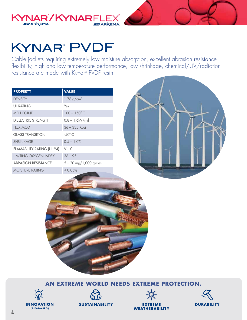

### KYNAR<sup>®</sup> PVDF

Cable jackets requiring extremely low moisture absorption, excellent abrasion resistance flexibility, high and low temperature performance, low shrinkage, chemical/UV/radiation resistance are made with Kynar® PVDF resin.

| <b>PROPERTY</b>                   | <b>VALUE</b>             |  |
|-----------------------------------|--------------------------|--|
| <b>DENSITY</b>                    | 1.78 $g/cm^{3}$          |  |
| <b>UL RATING</b>                  | Yes                      |  |
| <b>MELT POINT</b>                 | $100 - 150^{\circ}$ C    |  |
| <b>DIELECTRIC STRENGTH</b>        | $0.8 - 1.6$ kV/mil       |  |
| <b>FLEX MOD</b>                   | 36 - 335 Kpsi            |  |
| <b>GLASS TRANSITION</b>           | $-40^{\circ}$ C.         |  |
| <b>SHRINKAGE</b>                  | $0.4 - 1.0%$             |  |
| <b>FLAMABILITY RATING (UL 94)</b> | $V - 0$                  |  |
| <b>LIMITING OXYGEN INDEX</b>      | $36 - 95$                |  |
| <b>ABRASION RESISTANCE</b>        | $5 - 20$ mg/1,000 cycles |  |
| <b>MOISTURE RATING</b>            | < 0.05%                  |  |











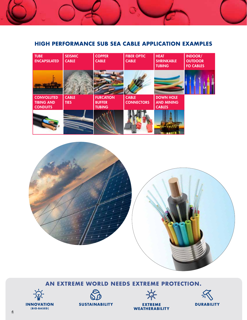### **HIGH PERFORMANCE SUB SEA CABLE APPLICATION EXAMPLES**











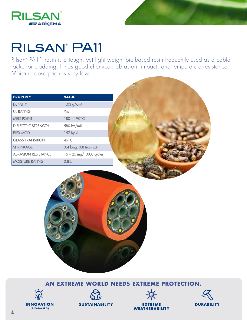



## RILSAN<sup>®</sup> PA11

Rilsan® PA11 resin is a tough, yet light weight bio-based resin frequently used as a cable jacket or cladding. It has good chemical, abrasion, impact, and temperature resistance. Moisture absorption is very low.

| <b>PROPERTY</b>            | <b>VALUE</b>               |  |
|----------------------------|----------------------------|--|
| <b>DENSITY</b>             | $1.03$ g/cm <sup>3</sup>   |  |
| <b>UL RATING</b>           | Yes                        |  |
| MELT POINT                 | $180 - 190^{\circ}$ C      |  |
| DIELECTRIC STRENGTH        | 580 kV/mil                 |  |
| <b>FLEX MOD</b>            | 157 Kpsi                   |  |
| <b>GLASS TRANSITION</b>    | $46^{\circ}$ C             |  |
| <b>SHRINKAGE</b>           | $0.4$ long. $0.8$ transv.% |  |
| <b>ABRASION RESISTANCE</b> | 15 - 25 mg/1,000 cycles    |  |
| MOISTURE RATING            | 0.8%                       |  |
|                            |                            |  |







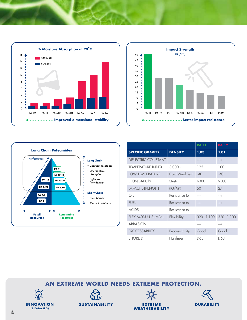





|                            |                 | <b>PA 11</b>  | <b>PA 12</b>  |
|----------------------------|-----------------|---------------|---------------|
| <b>SPECIFIC GRAVITY</b>    | <b>DENSITY</b>  | 1.03          | 1.01          |
| <b>DIELECTRIC CONSTANT</b> |                 | $++$          | $++$          |
| <b>TEMPERATURE INDEX</b>   | 3,000h          | 125           | 100           |
| <b>LOW TEMPERATURE</b>     | Cold Wind Test  | $-40$         | $-40$         |
| <b>ELONGATION</b>          | Stretch         | >300          | >300          |
| <b>IMPACT STRENGTH</b>     | $(KJ/M^3)$      | 50            | 27            |
| OIL                        | Resistance to   | $^{++}$       | $^{++}$       |
| <b>FUEL</b>                | Resistance to   | $++$          | $++$          |
| <b>ACIDS</b>               | Resistance to   | $+$           | $+$           |
| FLEX MODULUS (MPa)         | Flexibility     | $320 - 1,100$ | $320 - 1,100$ |
| <b>ABRASION</b>            |                 | $^{++}$       | $^{++}$       |
| <b>PROCESSABILITY</b>      | Processability  | Good          | Good          |
| <b>SHORE D</b>             | <b>Hardness</b> | D63           | D63           |







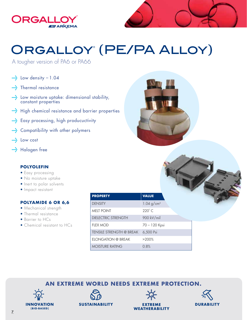



## ORGALLOY® (PE/PA ALLOY)

A tougher version of PA6 or PA66

- $\frac{1}{2}$  Low density 1.04
- **Withermal resistance**
- **Example 10 September** uptake: dimensional stability, constant properties
- **High chemical resistance and barrier properties**
- **Easy processing, high producuctivity**
- ••• Compatibility with other polymers
- with Low cost
- **With Halogen free**

### **POLYOLEFIN**

- Easy processing
- No moisture uptake
- Inert to polar solvents
- Impact resistant

### **POLYAMIDE 6 OR 6,6**

- Mechanical strength
- Thermal resistance
- Barrier to HCs
- Chemical resistant to HCs

| <b>PROPERTY</b>                 | <b>VALUE</b>    |
|---------------------------------|-----------------|
| <b>DENSITY</b>                  | 1.04 $g/cm^{3}$ |
| <b>MELT POINT</b>               | $220^\circ$ C   |
| <b>DIELECTRIC STRENGTH</b>      | 900 kV/mil      |
| <b>FLEX MOD</b>                 | 70 - 120 Kpsi   |
| <b>TENSILE STRENGTH @ BREAK</b> | 6,500 Psi       |
| <b>ELONGATION @ BREAK</b>       | >200%           |
| <b>MOISTURE RATING</b>          | 0.8%            |